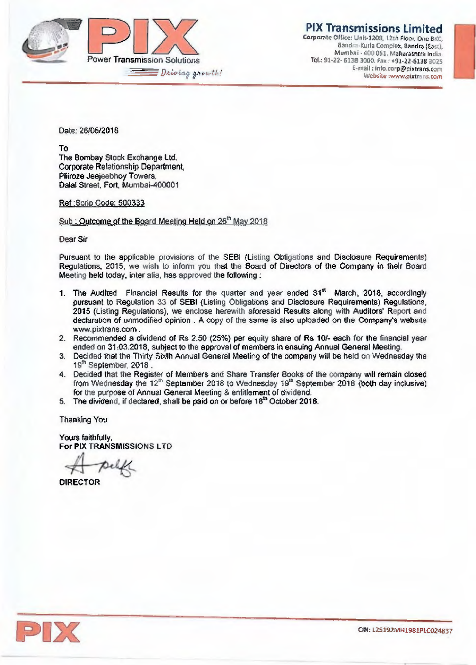

**PIX Transmissions Limited** 

Corporate Office: Unit-1208, 12th Floor, One BKC, Bandra-Kurla Complex, Bandra (East), Mumbai - 600051. Maharashtra India. Tel.: 91-22- 6138 3000. fax : +91,22-5135 3025 E-mail: into.ccrp@mxtrans.com Websitu :www.pixtrans.com

Date: 26/05/2018

To The Bombay Stock Exchange Ltd. Corporate Relationship Department, Pliiroze Jeejeebhoy Towers. Dalal Street. Fort, Mumbai-400001

Ref :Scrip Code: 500333

Sub : Outcome of the Board Meeting Held on 26<sup>th</sup> May 2018

Dear Sir

Pursuant to the applicable provisions of the SEBI (Listing Obligations and Disclosure Requirements) Regulations, 2015, we wish to inform you that the Board of Directors of the Company in their Board Meeting held today. inter alia, has approved the following :

- 1. The Audited Financial Results for the quarter and year ended  $31<sup>st</sup>$  March, 2018, accordingly pursuant to Regulation 33 of SEBI (Listing Obligations and Disclosure Requirements) Regulations. 2015 (Listing Regulations), we enclose herewith aforesaid Results along with Auditors' Report and declaration of unmodified opinion . A copy of the same is also uploaded on the Company's website www.pixtrans.com.
- 2. Recommended a dividend of Rs 2.50 (25%) per equity share of Rs 10/- each for the financial year ended on 31:03.2018, subject to the approval of members in ensuing Annual General Meeting.
- 3. Decided that the Thirty Sixth Annual General Meeting of the company will be held on Wednesday the 19" September. 2018 .
- 4. Decided that the Register of Members and Share Transfer Books of the company will remain dosed from Wednesday the  $12<sup>th</sup>$  September 2018 to Wednesday 19 $<sup>th</sup>$  September 2018 (both day inclusive)</sup> for the purpose of Annual General Meeting & entitlement of dividend.
- 5. The dividend, if declared, shall be paid on or before 18" October 2018.

Thanking You

Yours faithfully, For PIX TRANSMISSIONS LTD

DIRECTOR

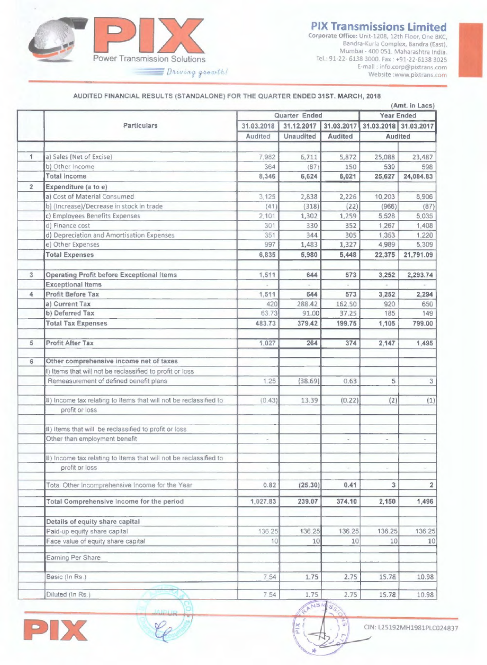# **FIX Transmissions Limited**



Corporate Office: Unit-1208, 12th Floor, One BKC, Bandra-Kurla Complex, Bandra (East), Mumbai - 400 051. Maharashtra India. Tel.. 91-22- 6138 3000. Fax : +91-22-6138 3025 E-mail : info.corp@pixtrans.com Website :www.pixtrans.com

### AUDITED FINANCIAL RESULTS (STANDALONE) FOR THE QUARTER ENDED 31ST. MARCH, 2018

|                |                                                                   | (Amt. in Lacs)       |                  |                |                                |                |  |
|----------------|-------------------------------------------------------------------|----------------------|------------------|----------------|--------------------------------|----------------|--|
|                | <b>Particulars</b>                                                | <b>Quarter Ended</b> |                  |                | <b>Year Ended</b>              |                |  |
|                |                                                                   | 31.03.2018           | 31.12.2017       | 31.03.2017     | 31.03.2018 31.03.2017          |                |  |
|                |                                                                   | <b>Audited</b>       | <b>Unaudited</b> | <b>Audited</b> | <b>Audited</b>                 |                |  |
| 1              | a) Sales (Net of Excise)                                          | 7,982                | 6,711            | 5,872          | 25,088                         | 23,487         |  |
|                | b) Other Income                                                   | 364                  | (87)             | 150            | 539                            | 598            |  |
|                | <b>Total Income</b>                                               | 8,346                | 6,624            | 6,021          | 25,627                         | 24,084.83      |  |
| $\overline{2}$ | Expenditure (a to e)                                              |                      |                  |                |                                |                |  |
|                | a) Cost of Material Consumed                                      | 3,125                | 2,838            | 2,226          | 10,203                         | 8,906          |  |
|                | b) (Increase)/Decrease in stock in trade                          | (41)                 | (318)            | (22)           | (966)                          | (87)           |  |
|                | c) Employees Benefits Expenses                                    | 2,101                | 1,302            | 1,259          | 5,528                          | 5,035          |  |
|                | d) Finance cost                                                   | 301                  | 330              | 352            | 1,267                          | 1,408          |  |
|                | d) Depreciation and Amortisation Expenses                         | 351                  | 344              | 305            | 1,353                          | 1,220          |  |
|                | e) Other Expenses                                                 | 997                  | 1,483            | 1,327          | 4,989                          | 5,309          |  |
|                | <b>Total Expenses</b>                                             | 6,835                | 5,980            | 5,448          | 22,375                         | 21,791.09      |  |
| 3 <sup>1</sup> | <b>Operating Profit before Exceptional Items</b>                  | 1,511                | 644              | 573            | 3,252                          | 2,293.74       |  |
|                | <b>Exceptional Items</b>                                          |                      | $-$              |                |                                |                |  |
| 4              | <b>Profit Before Tax</b>                                          | 1,511                | 644              | 573            | 3,252                          | 2,294          |  |
|                | a) Current Tax                                                    | 420                  | 288.42           | 162.50         | 920                            | 650            |  |
|                | b) Deferred Tax                                                   | 6373                 | 91.00            | 37.25          | 185                            | 149            |  |
|                | <b>Total Tax Expenses</b>                                         | 483.73               | 379.42           | 199.75         | 1,105                          | 799.00         |  |
| 5              | <b>Profit After Tax</b>                                           | 1,027                | 264              | 374            | 2,147                          | 1,495          |  |
|                |                                                                   |                      |                  |                |                                |                |  |
| 6              | Other comprehensive income net of taxes                           |                      |                  |                |                                |                |  |
|                | I) Items that will not be reclassified to profit or loss          |                      |                  |                |                                |                |  |
|                | Remeasurement of defined benefit plans                            | 1.25                 | (38.69)          | 0.63           | 5                              | $\overline{3}$ |  |
|                | II) Income tax relating to Items that will not be reclassified to | (0.43)               | 13.39            | (0.22)         | (2)                            | (1)            |  |
|                | profit or loss                                                    |                      |                  |                |                                |                |  |
|                | II) Items that will be reclassified to profit or loss             |                      |                  |                |                                |                |  |
|                | Other than employment benefit                                     |                      |                  |                |                                |                |  |
|                | II) income tax relating to Items that will not be reclassified to |                      |                  |                |                                |                |  |
|                | profit or loss                                                    |                      |                  | $\sim$         | $\left\vert \psi\right\vert$ . |                |  |
|                | Total Other Incomprehensive Income for the Year                   | 0.82                 | (25.30)          | 0.41           | 3                              |                |  |
|                | Total Comprehensive Income for the period                         | 1,027.83             | 239.07           | 374.10         | 2,150                          | 1,496          |  |
|                | Details of equity share capital                                   |                      |                  |                |                                |                |  |
|                | Paid-up equity share capital                                      | 136 25               | 136 25           | 136.25         | 136.25                         | 136 25         |  |
|                | Face value of equity share capital                                | 10                   | 10               | 10             | 10                             | 10             |  |
|                | Earning Per Share                                                 |                      |                  |                |                                |                |  |
|                | Basic (In Rs.)                                                    | 7.54                 | 1.75             | 2.75           | 15.78                          | 10.98          |  |
|                | Diluted (In Rs.)                                                  | 7.54                 | 1.75             | 2.75           | 15.78                          | 10.98          |  |
|                |                                                                   |                      |                  |                |                                |                |  |



**XIR** 

CIN: L25192MH1981PLC024837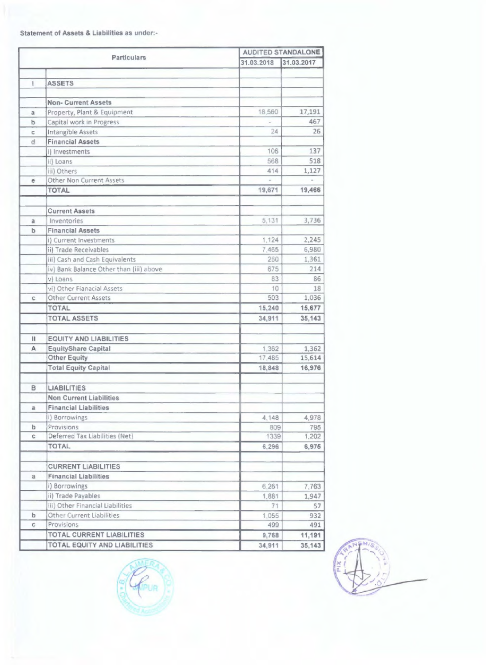**Statement of Assets & Liabilities as under:-** 

|                   | <b>Particulars</b>                      | <b>AUDITED STANDALONE</b> |            |  |  |
|-------------------|-----------------------------------------|---------------------------|------------|--|--|
|                   |                                         | 31.03.2018                | 31.03.2017 |  |  |
|                   |                                         |                           |            |  |  |
|                   | <b>ASSETS</b>                           |                           |            |  |  |
|                   | <b>Non-Current Assets</b>               |                           |            |  |  |
|                   | Property, Plant & Equipment             | 18,560                    | 17,191     |  |  |
| $\mathbf{a}$<br>b | Capital work in Progress                |                           | 467        |  |  |
|                   |                                         | 24                        | 26         |  |  |
| C<br>d            | <b>Intangible Assets</b>                |                           |            |  |  |
|                   | <b>Financial Assets</b>                 | 106                       | 137        |  |  |
|                   | i) Investments                          | 568                       | 518        |  |  |
|                   | ii) Loans                               |                           |            |  |  |
|                   | iii) Others                             | 414                       | 1,127      |  |  |
| e                 | <b>Other Non Current Assets</b>         |                           |            |  |  |
|                   | <b>TOTAL</b>                            | 19,671                    | 19,466     |  |  |
|                   | <b>Current Assets</b>                   |                           |            |  |  |
| $\mathbf{a}$      | <b>Inventories</b>                      | 5,131                     | 3,736      |  |  |
| $\mathbf b$       | <b>Financial Assets</b>                 |                           |            |  |  |
|                   | i) Current Investments                  | 1,124                     | 2,245      |  |  |
|                   | ii) Trade Receivables                   | 7,465                     | 6,980      |  |  |
|                   | iii) Cash and Cash Equivalents          | 250                       | 1,361      |  |  |
|                   | iv) Bank Balance Other than (iii) above | 675                       | 214        |  |  |
|                   | v) Loans                                | 83                        | 86         |  |  |
|                   | vi) Other Fianacial Assets              | 10                        | 18         |  |  |
| C.                | <b>Other Current Assets</b>             | 503                       | 1,036      |  |  |
|                   | <b>TOTAL</b>                            | 15,240                    | 15,677     |  |  |
|                   | <b>TOTAL ASSETS</b>                     | 34,911                    | 35,143     |  |  |
|                   |                                         |                           |            |  |  |
| $\mathbf{II}$     | <b>EQUITY AND LIABILITIES</b>           |                           |            |  |  |
| A                 | <b>EquityShare Capital</b>              | 1,362                     | 1,362      |  |  |
|                   | <b>Other Equity</b>                     | 17,485                    | 15,614     |  |  |
|                   | <b>Total Equity Capital</b>             | 18,848                    | 16,976     |  |  |
| B                 | <b>LIABILITIES</b>                      |                           |            |  |  |
|                   | <b>Non Current Liabilities</b>          |                           |            |  |  |
| $\mathbf{a}$      | <b>Financial Liabilities</b>            |                           |            |  |  |
|                   | i) Borrowings                           | 4,148                     | 4,978      |  |  |
| $\mathbf b$       | Provisions                              | 809                       | 795        |  |  |
| C.                | Deferred Tax Liabilities (Net)          | 1339                      | 1,202      |  |  |
|                   | <b>TOTAL</b>                            | 6,296                     | 6,975      |  |  |
|                   |                                         |                           |            |  |  |
|                   | <b>CURRENT LIABILITIES</b>              |                           |            |  |  |
| $\mathbf{a}$      | <b>Financial Liabilities</b>            |                           |            |  |  |
|                   | i) Borrowings                           | 6,261                     | 7,763      |  |  |
|                   | ii) Trade Payables                      | 1,881                     | 1,947      |  |  |
|                   | iii) Other Financial Liabilities        | 71                        | 57         |  |  |
| $\mathbf b$       | <b>Other Current Liabilities</b>        | 1,055                     | 932        |  |  |
| C                 | Provisions                              | 499                       | 491        |  |  |
|                   | <b>TOTAL CURRENT LIABILITIES</b>        | 9,768                     | 11,191     |  |  |
|                   | TOTAL EQUITY AND LIABILITIES            | 34,911                    | 35,143     |  |  |



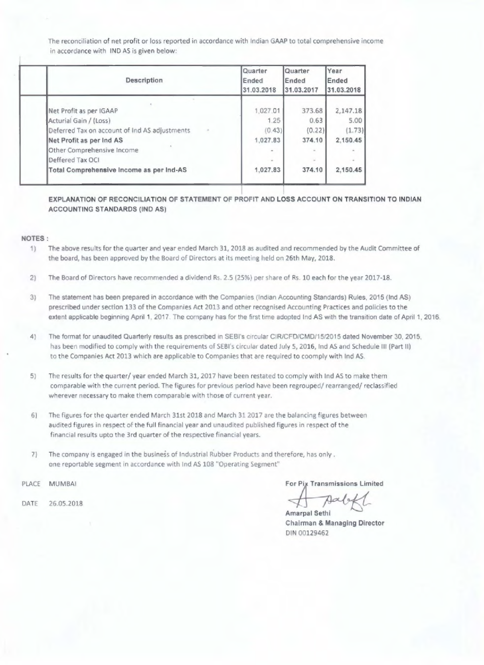The reconciliation of net profit or loss reported in accordance with Indian GAAP to total comprehensive income in accordance with IND AS is given below:

| 1,027.01<br>373.68 | 2,147.18         |
|--------------------|------------------|
|                    |                  |
| 1.25               | 5.00<br>0.63     |
| (0.43)             | (1.73)<br>(0.22) |
| 1.027.83<br>374.10 | 2,150.45         |
| $\sim$             |                  |
| ¥<br>$\sim$        |                  |
| 374.10<br>1,027.83 | 2,150.45         |
|                    |                  |

**EXPLANATION OF RECONCILIATION** OF STATEMENT OF PROFIT **AND LOSS ACCOUNT ON TRANSITION TO INDIAN ACCOUNTING STANDARDS (IND AS)** 

#### **NOTES**

- 1) The above results for the quarter and year ended March 31, 2018 as audited and recommended by the Audit Committee of the board, has been approved by the Board of Directors at its meeting held on 26th May, 2018.
- 2) The Board of Directors have recommended a dividend Rs. 2.5 (25%) per share of Rs. 10 each for the year 2017-18.
- 3) The statement has **been prepared** in accordance with the Companies (Indian Accounting **Standards) Rules, 2015 (Ind AS) prescribed under section** 133 of the Companies Act 2013 and other recognised Accounting Practices and policies to the extent applicable beginning April 1, 2017. The company has for the first time adopted Ind AS with the transition date of April 1, 2016.
- 4) The format for unaudited Quarterly results as prescribed in SEBI's circular CIR/CFD/CMD/15/2015 dated November 30, 2015,
	- has been modified to comply with the requirements of SEBI's circular dated July 5, 2016, Ind AS and Schedule III (Part II) to the Companies Act 2013 which are applicable to Companies that are required to coomply with Ind AS.
- 5) The results for the quarter/ year ended March 31, 2017 have been restated to comply with Ind AS to make **them comparable** with the **current period. The figures** for previous period **have** been **regrouped/ rearranged/** reclassified wherever necessary to make them comparable with those of current year.
- 6) The figures for the quarter ended March 31st 2018 and March 31 **2017 are** the balancing figures between audited figures in respect of the full financial year and unaudited published figures in respect of the financial results upto the 3rd quarter of the respective financial years.
- 7) The company is engaged in the business of Industrial Rubber Products and therefore, has only. one reportable segment in accordance with Ind AS 108 "Operating Segment"
- 
- DATE 26-05.2018

PLACE MUMBAI For Pix Transmissions Limited

Amarpal Sethi **Chairman & Managing Director**  DIN 00129462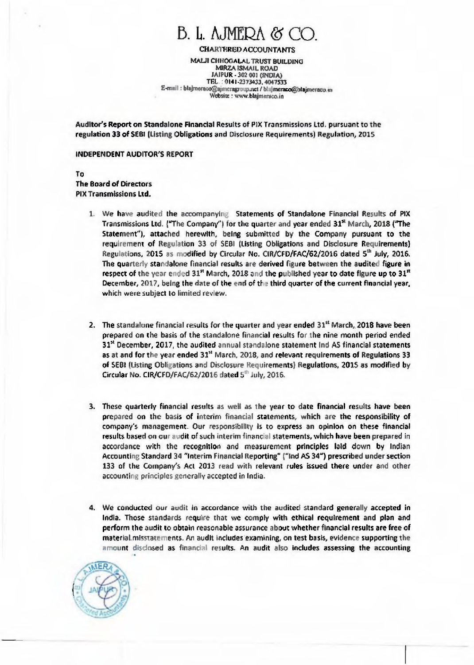## B. I,. AJMEPA *0* CO

**CHARTERED ACCOUNTANTS** 

**MAUI CIIIIOGALAL TRUST BUILDING MIRZA ISMAIL ROAD JAIPUR - 302 001 (INDIA) TEL . 0101-2373033. 4047533 E•mmil : blajrneracogejmerapoup.mt / blajmeracc@blajmeracu Website www.blajmereco.in** 

**Auditor's Report on Standalone Financial** Results of PIX Transmissions Ltd. pursuant to the **regulation 33 of SEMI (Listing Obligations** and Disclosure Requirements) Regulation, 2015

#### **INDEPENDENT AUDITOR'S REPORT**

**To The Board of Directors PIX Transmissions Ltd.** 

- **1. We have audited the accompanying Statements of Standalone Financial Results of PIX**  Transmissions Ltd. ("The Company") for the quarter and year ended 31<sup>x</sup> March, 2018 ("The **Statement"), attached herewith, being submitted by the Company pursuant to the requirement of Regulation 33 of SEBI (Listing Obligations and Disclosure Requirements)**  Regulations, 2015 as modified by Circular No. CIR/CFD/FAC/62/2016 dated 5<sup>th</sup> July, 2016. **The quarterly standalone financial results are derived figure between the audited figure in respect of the year ended 31" March, 2018 and the published year to date figure up to 31" December,** 2017, **being the date of the end of the third quarter of the current financial year, which were subject to limited review.**
- **2. The standalone financial results for the quarter and year ended 31" March,**. **2018 have been prepared on the basis of the standalone financial results for the nine month period ended 31" December, 2017, the audited annual standalone statement Ind AS financial statements as at and for the year ended 31" March, 2018, and relevant requirements of Regulations 33 of SEW (Listing Obligations and Disclosure Requirements) Regulations, 2015 as modified by Circular No. CIR/CFD/FAC/62/2016 dated 5° July, 2016.**
- **3. These quarterly financial results as well as the year to date financial results have been prepared on the basis of interim financial statements, which are the responsibility of company's management. Our responsibility is to express an opinion on these financial**  results based **on our audit of** such **interim financial statements, which have been prepared** in **accordance with the recognition and measurement principles laid down by Indian**  Accounting Standard 34 "Interim Financial Reporting" ("Ind AS 34") prescribed under section **133 of the Company's Act 2013 read** with **relevant rules issued there under and other accounting principles generally accepted in India.**
- **4. We conducted our audit In accordance** with the **audited standard generally accepted in India. Those standards require that we comply with ethical requirement and plan and perform the audit to obtain reasonable assurance about whether financial results are free of material.misstatements. An audit includes examining, on test basis, evidence supporting the amount disclosed as financial results. An audit also includes assessing the accounting**

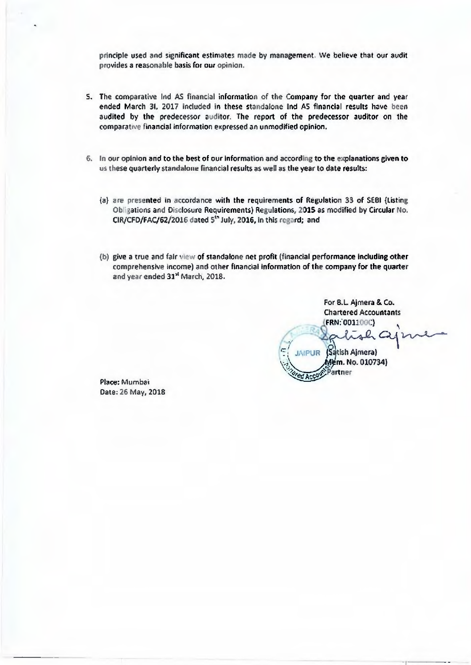principle used and significant estimates made by management. We believe that our audit provides a reasonable basis for our opinion.

- 5. The comparative Ind AS financial information of the Company for the quarter and year ended March 31, 2017 included in these standalone Ind AS financial results have been audited by the predecessor auditor. The report of the predecessor auditor on the comparative financial information expressed an unmodified opinion.
- 6. In our opinion and to the best of our Information and according to the explanations given to us these quarterly standalone financial results as well as the year to date results:
	- (a) are presented in accordance with the requirements of Regulation 33 of SERI (Listing Obligations and Disclosure Requirements) Regulations, 2015 as modified by Circular No. CIR/CFD/FAC/62/2016 dated 5<sup>th</sup> July, 2016, In this regard; and
	- (b) give a true and fair view of standalone net profit (financial performance including other comprehensive income) and other financial information of the company for the quarter and year ended 31' March, 2018.

For B.L. Ajmera & Co. Chartered Accountants FRN:.001100C)  $\mathcal{L}$   $<$ JAIPUR (Satish Ajmera) Mem. No. 010734)

Partner

Place: Mumbai Date; 26 May, 2018